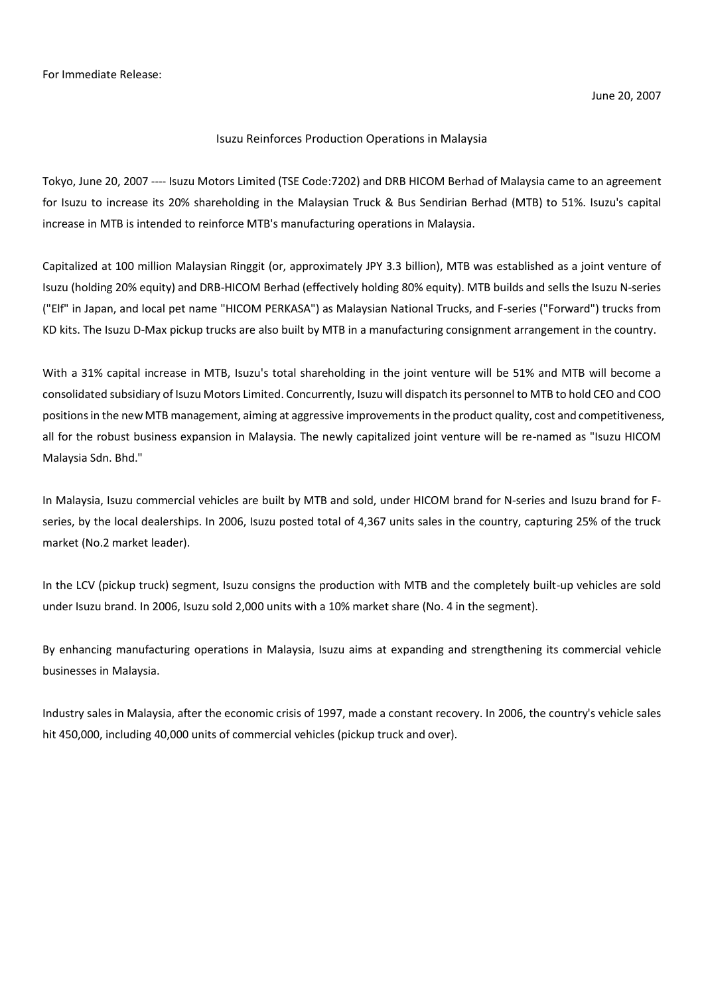## Isuzu Reinforces Production Operations in Malaysia

Tokyo, June 20, 2007 ---- Isuzu Motors Limited (TSE Code:7202) and DRB HICOM Berhad of Malaysia came to an agreement for Isuzu to increase its 20% shareholding in the Malaysian Truck & Bus Sendirian Berhad (MTB) to 51%. Isuzu's capital increase in MTB is intended to reinforce MTB's manufacturing operations in Malaysia.

Capitalized at 100 million Malaysian Ringgit (or, approximately JPY 3.3 billion), MTB was established as a joint venture of Isuzu (holding 20% equity) and DRB-HICOM Berhad (effectively holding 80% equity). MTB builds and sells the Isuzu N-series ("Elf" in Japan, and local pet name "HICOM PERKASA") as Malaysian National Trucks, and F-series ("Forward") trucks from KD kits. The Isuzu D-Max pickup trucks are also built by MTB in a manufacturing consignment arrangement in the country.

With a 31% capital increase in MTB, Isuzu's total shareholding in the joint venture will be 51% and MTB will become a consolidated subsidiary of Isuzu Motors Limited. Concurrently, Isuzu will dispatch its personnel to MTB to hold CEO and COO positions in the new MTB management, aiming at aggressive improvements in the product quality, cost and competitiveness, all for the robust business expansion in Malaysia. The newly capitalized joint venture will be re-named as "Isuzu HICOM Malaysia Sdn. Bhd."

In Malaysia, Isuzu commercial vehicles are built by MTB and sold, under HICOM brand for N-series and Isuzu brand for Fseries, by the local dealerships. In 2006, Isuzu posted total of 4,367 units sales in the country, capturing 25% of the truck market (No.2 market leader).

In the LCV (pickup truck) segment, Isuzu consigns the production with MTB and the completely built-up vehicles are sold under Isuzu brand. In 2006, Isuzu sold 2,000 units with a 10% market share (No. 4 in the segment).

By enhancing manufacturing operations in Malaysia, Isuzu aims at expanding and strengthening its commercial vehicle businesses in Malaysia.

Industry sales in Malaysia, after the economic crisis of 1997, made a constant recovery. In 2006, the country's vehicle sales hit 450,000, including 40,000 units of commercial vehicles (pickup truck and over).